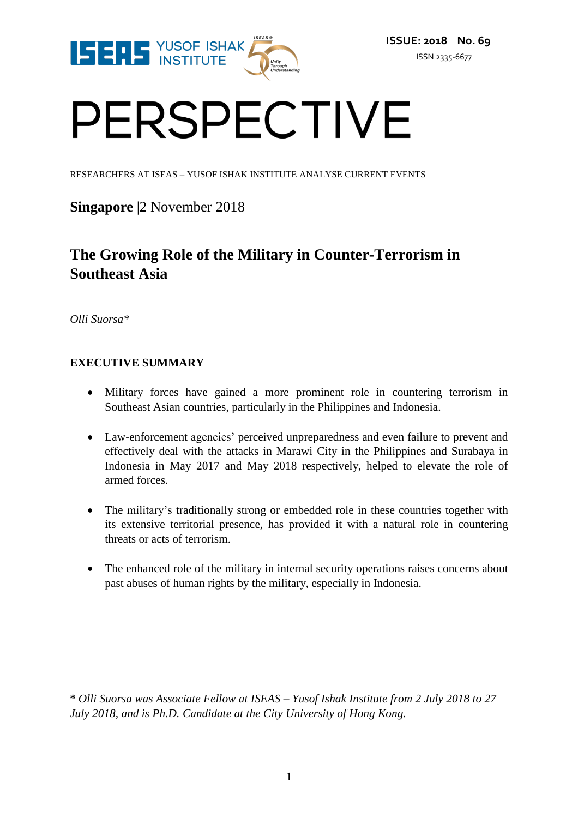

# PERSPECTIVE

RESEARCHERS AT ISEAS – YUSOF ISHAK INSTITUTE ANALYSE CURRENT EVENTS

### **Singapore** |2 November 2018

## **The Growing Role of the Military in Counter-Terrorism in Southeast Asia**

*Olli Suorsa\**

#### **EXECUTIVE SUMMARY**

- Military forces have gained a more prominent role in countering terrorism in Southeast Asian countries, particularly in the Philippines and Indonesia.
- Law-enforcement agencies' perceived unpreparedness and even failure to prevent and effectively deal with the attacks in Marawi City in the Philippines and Surabaya in Indonesia in May 2017 and May 2018 respectively, helped to elevate the role of armed forces.
- The military's traditionally strong or embedded role in these countries together with its extensive territorial presence, has provided it with a natural role in countering threats or acts of terrorism.
- The enhanced role of the military in internal security operations raises concerns about past abuses of human rights by the military, especially in Indonesia.

**\*** *Olli Suorsa was Associate Fellow at ISEAS – Yusof Ishak Institute from 2 July 2018 to 27 July 2018, and is Ph.D. Candidate at the City University of Hong Kong.*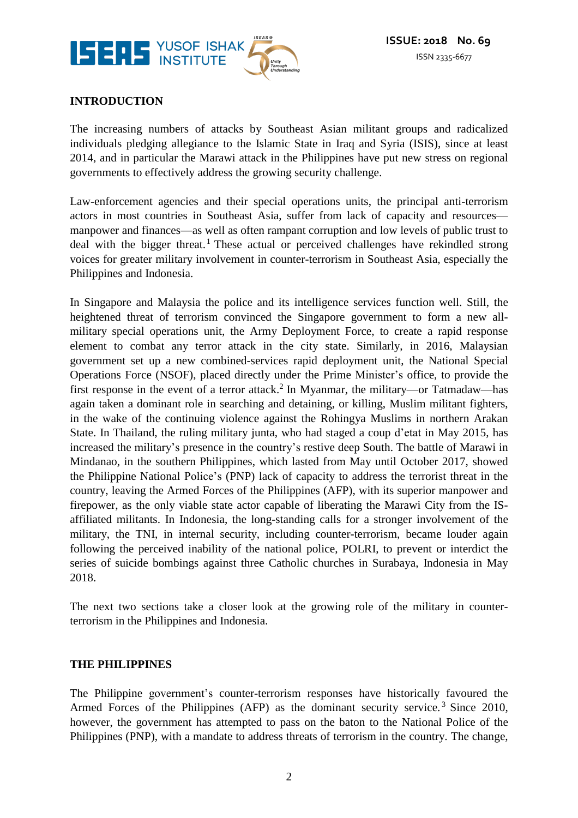

#### **INTRODUCTION**

The increasing numbers of attacks by Southeast Asian militant groups and radicalized individuals pledging allegiance to the Islamic State in Iraq and Syria (ISIS), since at least 2014, and in particular the Marawi attack in the Philippines have put new stress on regional governments to effectively address the growing security challenge.

Law-enforcement agencies and their special operations units, the principal anti-terrorism actors in most countries in Southeast Asia, suffer from lack of capacity and resources manpower and finances—as well as often rampant corruption and low levels of public trust to deal with the bigger threat.<sup>1</sup> These actual or perceived challenges have rekindled strong voices for greater military involvement in counter-terrorism in Southeast Asia, especially the Philippines and Indonesia.

In Singapore and Malaysia the police and its intelligence services function well. Still, the heightened threat of terrorism convinced the Singapore government to form a new allmilitary special operations unit, the Army Deployment Force, to create a rapid response element to combat any terror attack in the city state. Similarly, in 2016, Malaysian government set up a new combined-services rapid deployment unit, the National Special Operations Force (NSOF), placed directly under the Prime Minister's office, to provide the first response in the event of a terror attack.<sup>2</sup> In Myanmar, the military—or Tatmadaw—has again taken a dominant role in searching and detaining, or killing, Muslim militant fighters, in the wake of the continuing violence against the Rohingya Muslims in northern Arakan State. In Thailand, the ruling military junta, who had staged a coup d'etat in May 2015, has increased the military's presence in the country's restive deep South. The battle of Marawi in Mindanao, in the southern Philippines, which lasted from May until October 2017, showed the Philippine National Police's (PNP) lack of capacity to address the terrorist threat in the country, leaving the Armed Forces of the Philippines (AFP), with its superior manpower and firepower, as the only viable state actor capable of liberating the Marawi City from the ISaffiliated militants. In Indonesia, the long-standing calls for a stronger involvement of the military, the TNI, in internal security, including counter-terrorism, became louder again following the perceived inability of the national police, POLRI, to prevent or interdict the series of suicide bombings against three Catholic churches in Surabaya, Indonesia in May 2018.

The next two sections take a closer look at the growing role of the military in counterterrorism in the Philippines and Indonesia.

#### **THE PHILIPPINES**

The Philippine government's counter-terrorism responses have historically favoured the Armed Forces of the Philippines (AFP) as the dominant security service.<sup>3</sup> Since 2010, however, the government has attempted to pass on the baton to the National Police of the Philippines (PNP), with a mandate to address threats of terrorism in the country. The change,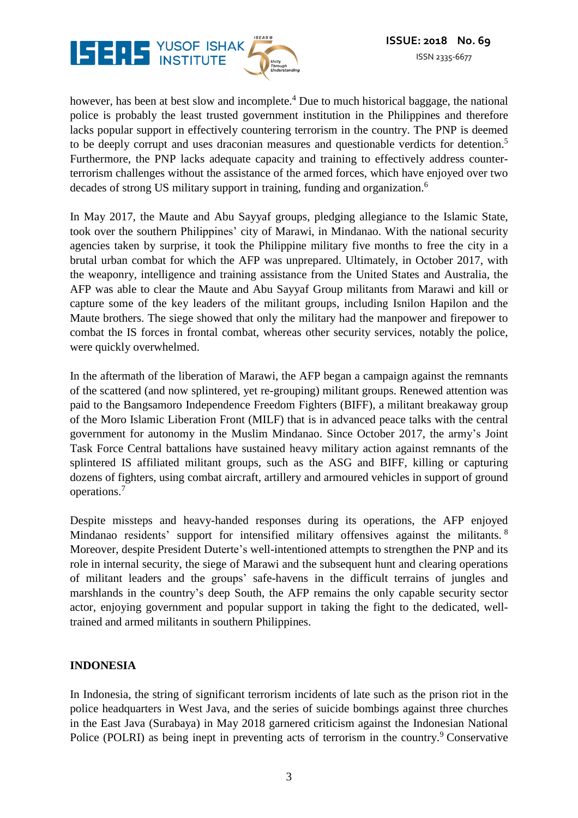

however, has been at best slow and incomplete.<sup>4</sup> Due to much historical baggage, the national police is probably the least trusted government institution in the Philippines and therefore lacks popular support in effectively countering terrorism in the country. The PNP is deemed to be deeply corrupt and uses draconian measures and questionable verdicts for detention.<sup>5</sup> Furthermore, the PNP lacks adequate capacity and training to effectively address counterterrorism challenges without the assistance of the armed forces, which have enjoyed over two decades of strong US military support in training, funding and organization.<sup>6</sup>

In May 2017, the Maute and Abu Sayyaf groups, pledging allegiance to the Islamic State, took over the southern Philippines' city of Marawi, in Mindanao. With the national security agencies taken by surprise, it took the Philippine military five months to free the city in a brutal urban combat for which the AFP was unprepared. Ultimately, in October 2017, with the weaponry, intelligence and training assistance from the United States and Australia, the AFP was able to clear the Maute and Abu Sayyaf Group militants from Marawi and kill or capture some of the key leaders of the militant groups, including Isnilon Hapilon and the Maute brothers. The siege showed that only the military had the manpower and firepower to combat the IS forces in frontal combat, whereas other security services, notably the police, were quickly overwhelmed.

In the aftermath of the liberation of Marawi, the AFP began a campaign against the remnants of the scattered (and now splintered, yet re-grouping) militant groups. Renewed attention was paid to the Bangsamoro Independence Freedom Fighters (BIFF), a militant breakaway group of the Moro Islamic Liberation Front (MILF) that is in advanced peace talks with the central government for autonomy in the Muslim Mindanao. Since October 2017, the army's Joint Task Force Central battalions have sustained heavy military action against remnants of the splintered IS affiliated militant groups, such as the ASG and BIFF, killing or capturing dozens of fighters, using combat aircraft, artillery and armoured vehicles in support of ground operations.<sup>7</sup>

Despite missteps and heavy-handed responses during its operations, the AFP enjoyed Mindanao residents' support for intensified military offensives against the militants. <sup>8</sup> Moreover, despite President Duterte's well-intentioned attempts to strengthen the PNP and its role in internal security, the siege of Marawi and the subsequent hunt and clearing operations of militant leaders and the groups' safe-havens in the difficult terrains of jungles and marshlands in the country's deep South, the AFP remains the only capable security sector actor, enjoying government and popular support in taking the fight to the dedicated, welltrained and armed militants in southern Philippines.

#### **INDONESIA**

In Indonesia, the string of significant terrorism incidents of late such as the prison riot in the police headquarters in West Java, and the series of suicide bombings against three churches in the East Java (Surabaya) in May 2018 garnered criticism against the Indonesian National Police (POLRI) as being inept in preventing acts of terrorism in the country.<sup>9</sup> Conservative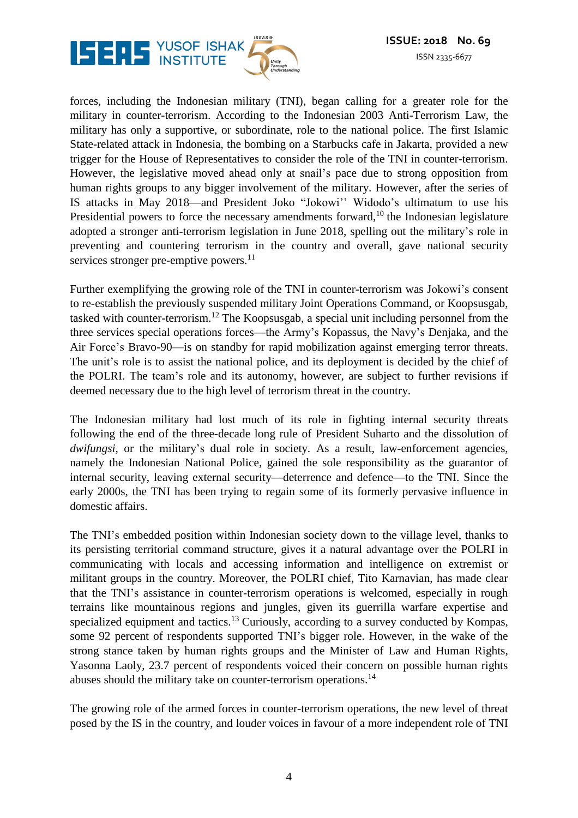

forces, including the Indonesian military (TNI), began calling for a greater role for the military in counter-terrorism. According to the Indonesian 2003 Anti-Terrorism Law, the military has only a supportive, or subordinate, role to the national police. The first Islamic State-related attack in Indonesia, the bombing on a Starbucks cafe in Jakarta, provided a new trigger for the House of Representatives to consider the role of the TNI in counter-terrorism. However, the legislative moved ahead only at snail's pace due to strong opposition from human rights groups to any bigger involvement of the military. However, after the series of IS attacks in May 2018—and President Joko "Jokowi'' Widodo's ultimatum to use his Presidential powers to force the necessary amendments forward,<sup>10</sup> the Indonesian legislature adopted a stronger anti-terrorism legislation in June 2018, spelling out the military's role in preventing and countering terrorism in the country and overall, gave national security services stronger pre-emptive powers.<sup>11</sup>

Further exemplifying the growing role of the TNI in counter-terrorism was Jokowi's consent to re-establish the previously suspended military Joint Operations Command, or Koopsusgab, tasked with counter-terrorism.<sup>12</sup> The Koopsusgab, a special unit including personnel from the three services special operations forces—the Army's Kopassus, the Navy's Denjaka, and the Air Force's Bravo-90—is on standby for rapid mobilization against emerging terror threats. The unit's role is to assist the national police, and its deployment is decided by the chief of the POLRI. The team's role and its autonomy, however, are subject to further revisions if deemed necessary due to the high level of terrorism threat in the country.

The Indonesian military had lost much of its role in fighting internal security threats following the end of the three-decade long rule of President Suharto and the dissolution of *dwifungsi,* or the military's dual role in society. As a result, law-enforcement agencies, namely the Indonesian National Police, gained the sole responsibility as the guarantor of internal security, leaving external security—deterrence and defence—to the TNI. Since the early 2000s, the TNI has been trying to regain some of its formerly pervasive influence in domestic affairs.

The TNI's embedded position within Indonesian society down to the village level, thanks to its persisting territorial command structure, gives it a natural advantage over the POLRI in communicating with locals and accessing information and intelligence on extremist or militant groups in the country. Moreover, the POLRI chief, Tito Karnavian, has made clear that the TNI's assistance in counter-terrorism operations is welcomed, especially in rough terrains like mountainous regions and jungles, given its guerrilla warfare expertise and specialized equipment and tactics.<sup>13</sup> Curiously, according to a survey conducted by Kompas, some 92 percent of respondents supported TNI's bigger role. However, in the wake of the strong stance taken by human rights groups and the Minister of Law and Human Rights, Yasonna Laoly, 23.7 percent of respondents voiced their concern on possible human rights abuses should the military take on counter-terrorism operations.<sup>14</sup>

The growing role of the armed forces in counter-terrorism operations, the new level of threat posed by the IS in the country, and louder voices in favour of a more independent role of TNI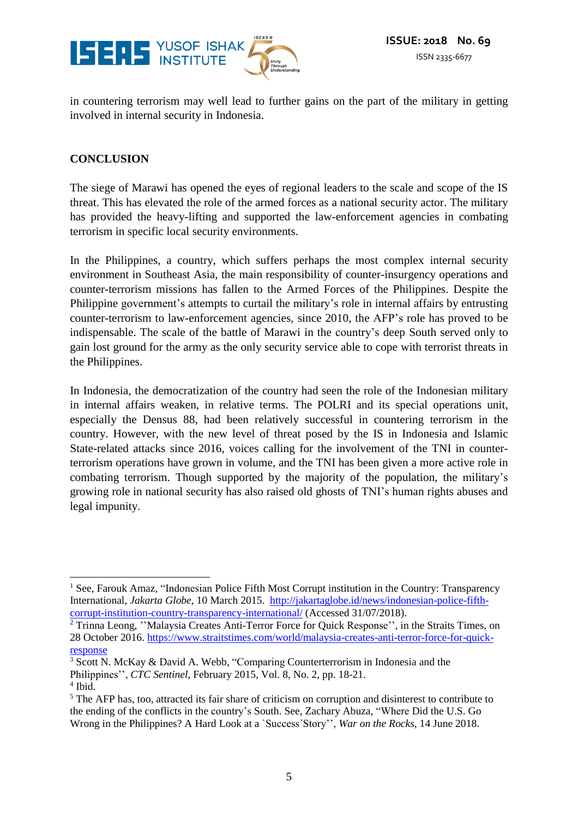

in countering terrorism may well lead to further gains on the part of the military in getting involved in internal security in Indonesia.

#### **CONCLUSION**

The siege of Marawi has opened the eyes of regional leaders to the scale and scope of the IS threat. This has elevated the role of the armed forces as a national security actor. The military has provided the heavy-lifting and supported the law-enforcement agencies in combating terrorism in specific local security environments.

In the Philippines, a country, which suffers perhaps the most complex internal security environment in Southeast Asia, the main responsibility of counter-insurgency operations and counter-terrorism missions has fallen to the Armed Forces of the Philippines. Despite the Philippine government's attempts to curtail the military's role in internal affairs by entrusting counter-terrorism to law-enforcement agencies, since 2010, the AFP's role has proved to be indispensable. The scale of the battle of Marawi in the country's deep South served only to gain lost ground for the army as the only security service able to cope with terrorist threats in the Philippines.

In Indonesia, the democratization of the country had seen the role of the Indonesian military in internal affairs weaken, in relative terms. The POLRI and its special operations unit, especially the Densus 88, had been relatively successful in countering terrorism in the country. However, with the new level of threat posed by the IS in Indonesia and Islamic State-related attacks since 2016, voices calling for the involvement of the TNI in counterterrorism operations have grown in volume, and the TNI has been given a more active role in combating terrorism. Though supported by the majority of the population, the military's growing role in national security has also raised old ghosts of TNI's human rights abuses and legal impunity.

 $\overline{\phantom{a}}$ 

<sup>&</sup>lt;sup>1</sup> See, Farouk Amaz, "Indonesian Police Fifth Most Corrupt institution in the Country: Transparency International, *Jakarta Globe,* 10 March 2015. [http://jakartaglobe.id/news/indonesian-police-fifth](http://jakartaglobe.id/news/indonesian-police-fifth-corrupt-institution-country-transparency-international/)[corrupt-institution-country-transparency-international/](http://jakartaglobe.id/news/indonesian-police-fifth-corrupt-institution-country-transparency-international/) (Accessed 31/07/2018).

<sup>2</sup> Trinna Leong, ''Malaysia Creates Anti-Terror Force for Quick Response'', in the Straits Times, on 28 October 2016. [https://www.straitstimes.com/world/malaysia-creates-anti-terror-force-for-quick](https://www.straitstimes.com/world/malaysia-creates-anti-terror-force-for-quick-response)[response](https://www.straitstimes.com/world/malaysia-creates-anti-terror-force-for-quick-response)

<sup>3</sup> Scott N. McKay & David A. Webb, "Comparing Counterterrorism in Indonesia and the Philippines'', *CTC Sentinel,* February 2015, Vol. 8, No. 2, pp. 18-21.

<sup>4</sup> Ibid.

<sup>&</sup>lt;sup>5</sup> The AFP has, too, attracted its fair share of criticism on corruption and disinterest to contribute to the ending of the conflicts in the country's South. See, Zachary Abuza, "Where Did the U.S. Go Wrong in the Philippines? A Hard Look at a `Success´Story'', *War on the Rocks,* 14 June 2018.